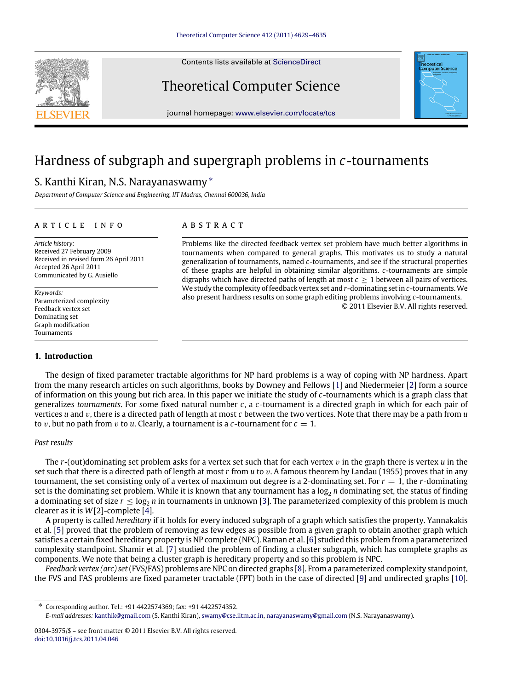Contents lists available at [ScienceDirect](http://www.elsevier.com/locate/tcs)

# Theoretical Computer Science



journal homepage: [www.elsevier.com/locate/tcs](http://www.elsevier.com/locate/tcs)

# Hardness of subgraph and supergraph problems in *c*-tournaments

# S. Kanthi Kiran, N.S. Narayanaswamy[∗](#page-0-0)

*Department of Computer Science and Engineering, IIT Madras, Chennai 600036, India*

## a r t i c l e i n f o

*Article history:* Received 27 February 2009 Received in revised form 26 April 2011 Accepted 26 April 2011 Communicated by G. Ausiello

*Keywords:* Parameterized complexity Feedback vertex set Dominating set Graph modification Tournaments

## **1. Introduction**

# A B S T R A C T

Problems like the directed feedback vertex set problem have much better algorithms in tournaments when compared to general graphs. This motivates us to study a natural generalization of tournaments, named *c*-tournaments, and see if the structural properties of these graphs are helpful in obtaining similar algorithms. *c*-tournaments are simple digraphs which have directed paths of length at most  $c \geq 1$  between all pairs of vertices. We study the complexity of feedback vertex set and *r*-dominating set in *c*-tournaments.We also present hardness results on some graph editing problems involving *c*-tournaments. © 2011 Elsevier B.V. All rights reserved.

The design of fixed parameter tractable algorithms for NP hard problems is a way of coping with NP hardness. Apart from the many research articles on such algorithms, books by Downey and Fellows [\[1\]](#page-6-0) and Niedermeier [\[2\]](#page-6-1) form a source of information on this young but rich area. In this paper we initiate the study of *c*-tournaments which is a graph class that generalizes *tournaments*. For some fixed natural number *c*, a *c*-tournament is a directed graph in which for each pair of vertices *u* and v, there is a directed path of length at most *c* between the two vertices. Note that there may be a path from *u* to *v*, but no path from *v* to *u*. Clearly, a tournament is a *c*-tournament for  $c = 1$ .

#### *Past results*

The *r*-(out)dominating set problem asks for a vertex set such that for each vertex v in the graph there is vertex *u* in the set such that there is a directed path of length at most *r* from *u* to v. A famous theorem by Landau (1955) proves that in any tournament, the set consisting only of a vertex of maximum out degree is a 2-dominating set. For  $r = 1$ , the *r*-dominating set is the dominating set problem. While it is known that any tournament has a  $\log_2 n$  dominating set, the status of finding a dominating set of size  $r \le \log_2 n$  in tournaments in unknown [\[3\]](#page-6-2). The parameterized complexity of this problem is much clearer as it is *W*[2]-complete [\[4\]](#page-6-3).

A property is called *hereditary* if it holds for every induced subgraph of a graph which satisfies the property. Yannakakis et al. [\[5\]](#page-6-4) proved that the problem of removing as few edges as possible from a given graph to obtain another graph which satisfies a certain fixed hereditary property is NP complete (NPC). Raman et al. [\[6\]](#page-6-5) studied this problem from a parameterized complexity standpoint. Shamir et al. [\[7\]](#page-6-6) studied the problem of finding a cluster subgraph, which has complete graphs as components. We note that being a cluster graph is hereditary property and so this problem is NPC.

*Feedback vertex (arc) set*(FVS/FAS) problems are NPC on directed graphs [\[8\]](#page-6-7). From a parameterized complexity standpoint, the FVS and FAS problems are fixed parameter tractable (FPT) both in the case of directed [\[9\]](#page-6-8) and undirected graphs [\[10\]](#page-6-9).

<span id="page-0-0"></span>∗ Corresponding author. Tel.: +91 4422574369; fax: +91 4422574352.

*E-mail addresses:* [kanthik@gmail.com](mailto:kanthik@gmail.com) (S. Kanthi Kiran), [swamy@cse.iitm.ac.in,](mailto:swamy@cse.iitm.ac.in) [narayanaswamy@gmail.com](mailto:narayanaswamy@gmail.com) (N.S. Narayanaswamy).

<sup>0304-3975/\$ –</sup> see front matter © 2011 Elsevier B.V. All rights reserved. [doi:10.1016/j.tcs.2011.04.046](http://dx.doi.org/10.1016/j.tcs.2011.04.046)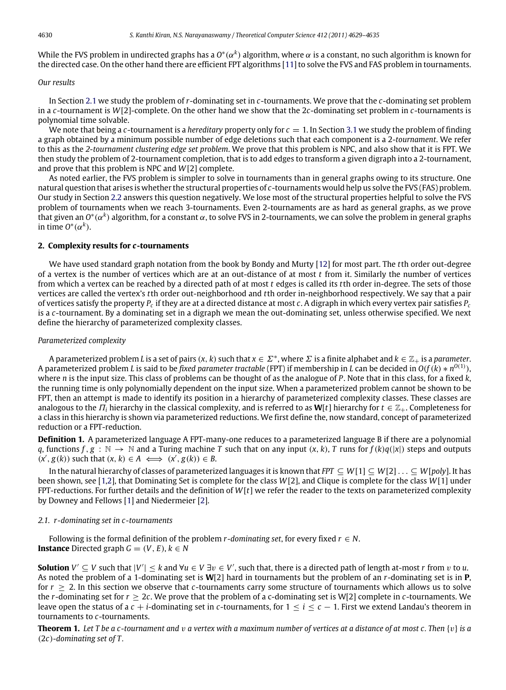While the FVS problem in undirected graphs has a O\*( $\alpha^k$ ) algorithm, where  $\alpha$  is a constant, no such algorithm is known for the directed case. On the other hand there are efficient FPT algorithms [\[11\]](#page-6-10) to solve the FVS and FAS problem in tournaments.

# *Our results*

In Section [2.1](#page-1-0) we study the problem of *r*-dominating set in *c*-tournaments. We prove that the *c*-dominating set problem in a *c*-tournament is *W*[2]-complete. On the other hand we show that the 2*c*-dominating set problem in *c*-tournaments is polynomial time solvable.

We note that being a *c*-tournament is a *hereditary* property only for *c* = 1. In Section [3.1](#page-3-0) we study the problem of finding a graph obtained by a minimum possible number of edge deletions such that each component is a 2-*tournament*. We refer to this as the *2-tournament clustering edge set problem*. We prove that this problem is NPC, and also show that it is FPT. We then study the problem of 2-tournament completion, that is to add edges to transform a given digraph into a 2-tournament, and prove that this problem is NPC and *W*[2] complete.

As noted earlier, the FVS problem is simpler to solve in tournaments than in general graphs owing to its structure. One natural question that arises is whether the structural properties of *c*-tournaments would help us solve the FVS (FAS) problem. Our study in Section [2.2](#page-2-0) answers this question negatively. We lose most of the structural properties helpful to solve the FVS problem of tournaments when we reach 3-tournaments. Even 2-tournaments are as hard as general graphs, as we prove that given an *O* ∗ (α*<sup>k</sup>* ) algorithm, for a constant α, to solve FVS in 2-tournaments, we can solve the problem in general graphs in time  $O^*(\alpha^k)$ .

#### **2. Complexity results for** *c***-tournaments**

We have used standard graph notation from the book by Bondy and Murty [\[12\]](#page-6-11) for most part. The *t*th order out-degree of a vertex is the number of vertices which are at an out-distance of at most *t* from it. Similarly the number of vertices from which a vertex can be reached by a directed path of at most *t* edges is called its *t*th order in-degree. The sets of those vertices are called the vertex's *t*th order out-neighborhood and *t*th order in-neighborhood respectively. We say that a pair of vertices satisfy the property *P<sup>c</sup>* if they are at a directed distance at most *c*. A digraph in which every vertex pair satisfies *P<sup>c</sup>* is a *c*-tournament. By a dominating set in a digraph we mean the out-dominating set, unless otherwise specified. We next define the hierarchy of parameterized complexity classes.

# *Parameterized complexity*

A parameterized problem L is a set of pairs  $(x, k)$  such that  $x \in \Sigma^*$ , where  $\Sigma$  is a finite alphabet and  $k \in \mathbb{Z}_+$  is a parameter. A parameterized problem *L* is said to be *fixed parameter tractable* (FPT) if membership in *L* can be decided in *O*(*f*(*k*) ∗ *n O*(1) ), where *n* is the input size. This class of problems can be thought of as the analogue of *P*. Note that in this class, for a fixed *k*, the running time is only polynomially dependent on the input size. When a parameterized problem cannot be shown to be FPT, then an attempt is made to identify its position in a hierarchy of parameterized complexity classes. These classes are analogous to the  $\Pi_i$  hierarchy in the classical complexity, and is referred to as **W**[*t*] hierarchy for  $t \in \mathbb{Z}_+$ . Completeness for a class in this hierarchy is shown via parameterized reductions. We first define the, now standard, concept of parameterized reduction or a FPT-reduction.

**Definition 1.** A parameterized language A FPT-many-one reduces to a parameterized language B if there are a polynomial *q*, functions  $f, g : \mathbb{N} \to \mathbb{N}$  and a Turing machine *T* such that on any input  $(x, k)$ , *T* runs for  $f(k)q(|x|)$  steps and outputs  $(x', g(k))$  such that  $(x, k) \in A \iff (x', g(k)) \in B$ .

In the natural hierarchy of classes of parameterized languages it is known that *FPT* ⊆ *W*[1] ⊆ *W*[2] . . . ⊆ *W*[*poly*]. It has been shown, see [\[1,](#page-6-0)[2\]](#page-6-1), that Dominating Set is complete for the class *W*[2], and Clique is complete for the class *W*[1] under FPT-reductions. For further details and the definition of *W*[*t*] we refer the reader to the texts on parameterized complexity by Downey and Fellows [\[1\]](#page-6-0) and Niedermeier [\[2\]](#page-6-1).

#### <span id="page-1-0"></span>*2.1. r-dominating set in c-tournaments*

Following is the formal definition of the problem *r*-dominating set, for every fixed  $r \in N$ . **Instance** Directed graph  $G = (V, E), k \in N$ 

**Solution**  $V' \subseteq V$  such that  $|V'| \leq k$  and  $\forall u \in V \exists v \in V'$ , such that, there is a directed path of length at-most *r* from *v* to *u*. As noted the problem of a 1-dominating set is **W**[2] hard in tournaments but the problem of an *r*-dominating set is in **P**, for  $r \geq 2$ . In this section we observe that *c*-tournaments carry some structure of tournaments which allows us to solve the *r*-dominating set for *r* ≥ 2*c*. We prove that the problem of a c-dominating set is W[2] complete in *c*-tournaments. We leave open the status of a  $c + i$ -dominating set in  $c$ -tournaments, for  $1 \le i \le c - 1$ . First we extend Landau's theorem in tournaments to *c*-tournaments.

**Theorem 1.** *Let T be a c-tournament and* v *a vertex with a maximum number of vertices at a distance of at most c. Then* {v} *is a* (2*c*)*-dominating set of T .*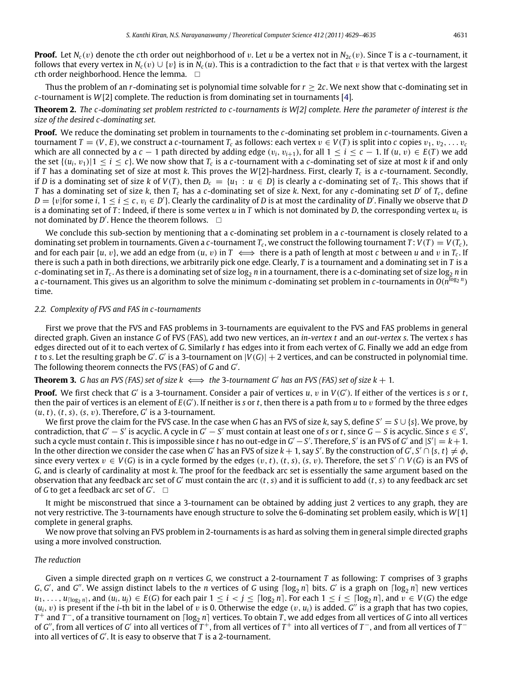**Proof.** Let  $N_c(v)$  denote the *c*th order out neighborhood of v. Let *u* be a vertex not in  $N_{2c}(v)$ . Since T is a *c*-tournament, it follows that every vertex in  $N_c(v) \cup \{v\}$  is in  $N_c(u)$ . This is a contradiction to the fact that v is that vertex with the largest *c*th order neighborhood. Hence the lemma.  $\square$ 

Thus the problem of an *r*-dominating set is polynomial time solvable for  $r \geq 2c$ . We next show that c-dominating set in *c*-tournament is *W*[2] complete. The reduction is from dominating set in tournaments [\[4\]](#page-6-3).

**Theorem 2.** *The c-dominating set problem restricted to c-tournaments is W[2] complete. Here the parameter of interest is the size of the desired c-dominating set.*

**Proof.** We reduce the dominating set problem in tournaments to the *c*-dominating set problem in *c*-tournaments. Given a tournament  $T = (V, E)$ , we construct a *c*-tournament  $T_c$  as follows: each vertex  $v \in V(T)$  is split into *c* copies  $v_1, v_2, \ldots, v_c$ which are all connected by a  $c - 1$  path directed by adding edge  $(v_i, v_{i+1})$ , for all  $1 \le i \le c - 1$ . If  $(u, v) \in E(T)$  we add the set  $\{(u_i, v_1)|1 \le i \le c\}$ . We now show that  $T_c$  is a *c*-tournament with a *c*-dominating set of size at most *k* if and only if *T* has a dominating set of size at most *k*. This proves the *W*[2]-hardness. First, clearly *T<sup>c</sup>* is a *c*-tournament. Secondly, if *D* is a dominating set of size *k* of  $V(T)$ , then  $D_c = \{u_1 : u \in D\}$  is clearly a *c*-dominating set of  $T_c$ . This shows that if *T* has a dominating set of size *k*, then *T<sup>c</sup>* has a *c*-dominating set of size *k*. Next, for any *c*-dominating set *D* ′ of *<sup>T</sup><sup>c</sup>* , define  $D = \{v |$  for some  $i, 1 \le i \le c, v_i \in D'\}$ . Clearly the cardinality of *D* is at most the cardinality of *D'*. Finally we observe that *D* is a dominating set of *T* : Indeed, if there is some vertex *u* in *T* which is not dominated by *D*, the corresponding vertex *u<sup>c</sup>* is not dominated by  $D'$ . Hence the theorem follows.  $\square$ 

We conclude this sub-section by mentioning that a c-dominating set problem in a *c*-tournament is closely related to a dominating set problem in tournaments. Given a *c*-tournament  $T_c$ , we construct the following tournament  $T$ :  $V(T) = V(T_c)$ , and for each pair  $\{u, v\}$ , we add an edge from  $(u, v)$  in  $T \iff$  there is a path of length at most *c* between *u* and *v* in  $T_c$ . If there is such a path in both directions, we arbitrarily pick one edge. Clearly, *T* is a tournament and a dominating set in *T* is a *c-*dominating set in  $T_c$ . As there is a dominating set of size log<sub>2</sub> *n* in a tournament, there is a c-dominating set of size log<sub>2</sub> *n* in a *c*-tournament. This gives us an algorithm to solve the minimum *c*-dominating set problem in *c*-tournaments in  $O(n^{\log_2 n})$ time.

#### <span id="page-2-0"></span>*2.2. Complexity of FVS and FAS in c-tournaments*

First we prove that the FVS and FAS problems in 3-tournaments are equivalent to the FVS and FAS problems in general directed graph. Given an instance *G* of FVS (FAS), add two new vertices, an *in-vertex t* and an *out-vertex s*. The vertex *s* has edges directed out of it to each vertex of *G*. Similarly *t* has edges into it from each vertex of *G*. Finally we add an edge from t to *s*. Let the resulting graph be *G'*. *G'* is a 3-tournament on  $|V(G)| + 2$  vertices, and can be constructed in polynomial time. The following theorem connects the FVS (FAS) of *G* and *G* ′ .

# **Theorem 3.** *G* has an FVS (FAS) set of size  $k \iff$  the 3*-tournament G'* has an FVS (FAS) set of size  $k + 1$ .

**Proof.** We first check that *G'* is a 3-tournament. Consider a pair of vertices *u*, *v* in *V*(*G'*). If either of the vertices is *s* or *t*, then the pair of vertices is an element of  $E(G')$ . If neither is s or t, then there is a path from *u* to *v* formed by the three edges  $(u, t)$ ,  $(t, s)$ ,  $(s, v)$ . Therefore,  $G'$  is a 3-tournament.

We first prove the claim for the FVS case. In the case when *G* has an FVS of size *k*, say S, define *S* ′ = *S* ∪ {*s*}. We prove, by  $\alpha$  contradiction, that  $G' - S'$  is acyclic. A cycle in  $G' - S'$  must contain at least one of *s* or *t*, since  $G - S$  is acyclic. Since  $s \in S'$ , such a cycle must contain *t*. This is impossible since *t* has no out-edge in  $G'-S'$ . Therefore, S' is an FVS of  $G'$  and  $|S'|=k+1$ . In the other direction we consider the case when *G'* has an FVS of size  $k+1$ , say *S'*. By the construction of *G'*, *S'*  $\cap$  {*s*, *t* }  $\neq \phi$ , since every vertex  $v \in V(G)$  is in a cycle formed by the edges  $(v, t)$ ,  $(t, s)$ ,  $(s, v)$ . Therefore, the set  $S' \cap V(G)$  is an FVS of *G*, and is clearly of cardinality at most *k*. The proof for the feedback arc set is essentially the same argument based on the observation that any feedback arc set of *G* ′ must contain the arc (*t*, *s*) and it is sufficient to add (*t*, *s*) to any feedback arc set of *G* to get a feedback arc set of *G* ′ .

It might be misconstrued that since a 3-tournament can be obtained by adding just 2 vertices to any graph, they are not very restrictive. The 3-tournaments have enough structure to solve the 6-dominating set problem easily, which is *W*[1] complete in general graphs.

We now prove that solving an FVS problem in 2-tournaments is as hard as solving them in general simple directed graphs using a more involved construction.

# *The reduction*

Given a simple directed graph on *n* vertices *G*, we construct a 2-tournament *T* as following: *T* comprises of 3 graphs *G*, *G'*, and *G''*. We assign distinct labels to the *n* vertices of *G* using  $\lceil \log_2 n \rceil$  bits. *G'* is a graph on  $\lceil \log_2 n \rceil$  new vertices  $u_1, \ldots, u_{\lceil \log_2 n \rceil}$ , and  $(u_i, u_j) \in E(G)$  for each pair  $1 \leq i < j \leq \lceil \log_2 n \rceil$ . For each  $1 \leq i \leq \lceil \log_2 n \rceil$ , and  $v \in V(G)$  the edge  $(u_i, v)$  is present if the *i*-th bit in the label of v is 0. Otherwise the edge  $(v, u_i)$  is added. *G*<sup>"</sup> is a graph that has two copies, *T* <sup>+</sup> and *T* <sup>−</sup>, of a transitive tournament on ⌈log<sup>2</sup> *<sup>n</sup>*⌉ vertices. To obtain *<sup>T</sup>* , we add edges from all vertices of *<sup>G</sup>* into all vertices of *G*", from all vertices of *G'* into all vertices of  $T^+$ , from all vertices of  $T^+$  into all vertices of  $T^-$ , and from all vertices of  $T^$ into all vertices of *G'*. It is easy to observe that *T* is a 2-tournament.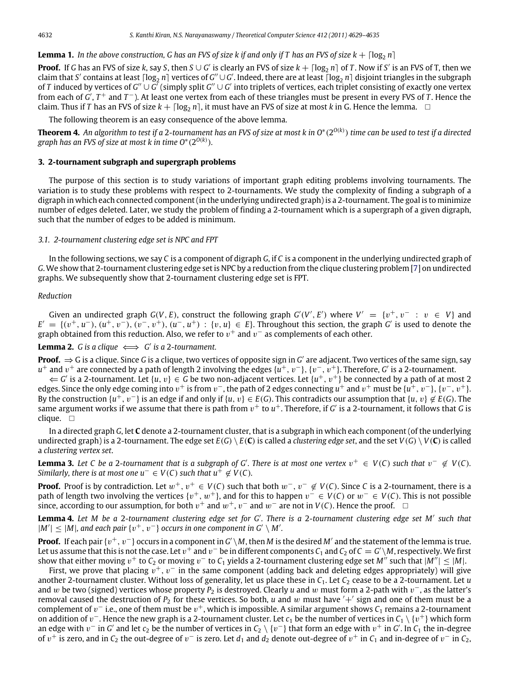**Lemma 1.** In the above construction, G has an FVS of size k if and only if T has an FVS of size  $k + \lfloor \log_2 n \rfloor$ 

**Proof.** If *G* has an FVS of size *k*, say *S*, then *S* ∪ *G'* is clearly an FVS of size  $k + \lceil \log_2 n \rceil$  of *T*. Now if *S'* is an FVS of T, then we claim that S' contains at least  $\lceil \log_2 n \rceil$  vertices of G"  $\cup$  G'. Indeed, there are at least  $\lceil \log_2 n \rceil$  disjoint triangles in the subgraph of *T* induced by vertices of  $G''\cup G'$  (simply split  $G''\cup G'$  into triplets of vertices, each triplet consisting of exactly one vertex from each of *G'*, *T*<sup>+</sup> and *T*<sup>−</sup>). At least one vertex from each of these triangles must be present in every FVS of *T*. Hence the claim. Thus if *T* has an FVS of size  $k + \lceil \log_2 n \rceil$ , it must have an FVS of size at most *k* in G. Hence the lemma.  $\Box$ 

The following theorem is an easy consequence of the above lemma.

**Theorem 4.** *An algorithm to test if a* 2*-tournament has an FVS of size at most k in O*<sup>∗</sup> (2 *O*(*k*) ) *time can be used to test if a directed graph has an FVS of size at most k in time O*<sup>∗</sup> (2 *O*(*k*) )*.*

# **3. 2-tournament subgraph and supergraph problems**

The purpose of this section is to study variations of important graph editing problems involving tournaments. The variation is to study these problems with respect to 2-tournaments. We study the complexity of finding a subgraph of a digraph in which each connected component (in the underlying undirected graph) is a 2-tournament. The goal is to minimize number of edges deleted. Later, we study the problem of finding a 2-tournament which is a supergraph of a given digraph, such that the number of edges to be added is minimum.

# <span id="page-3-0"></span>*3.1. 2-tournament clustering edge set is NPC and FPT*

In the following sections, we say *C* is a component of digraph *G*, if *C* is a component in the underlying undirected graph of *G*. We show that 2-tournament clustering edge set is NPC by a reduction from the clique clustering problem [\[7\]](#page-6-6) on undirected graphs. We subsequently show that 2-tournament clustering edge set is FPT.

## *Reduction*

Given an undirected graph  $G(V, E)$ , construct the following graph  $G'(V', E')$  where  $V' = \{v^+, v^- : v \in V\}$  and  $E' = \{(v^+, u^-), (u^+, v^-), (v^-, v^+), (u^-, u^+) : \{v, u\} \in E\}$ . Throughout this section, the graph *G'* is used to denote the graph obtained from this reduction. Also, we refer to  $v^{+}$  and  $v^{-}$  as complements of each other.

<span id="page-3-3"></span>**Lemma 2.** *G* is a clique  $\iff G'$  is a 2-tournament.

**Proof.** ⇒ G is a clique. Since G is a clique, two vertices of opposite sign in G' are adjacent. Two vertices of the same sign, say *u*<sup>+</sup> and *v*<sup>+</sup> are connected by a path of length 2 involving the edges {*u*<sup>+</sup>, *v*<sup>−</sup>}, {*v*<sup>−</sup>, *v*<sup>+</sup>}. Therefore, *G*' is a 2-tournament.

 $∈$  *G'* is a 2-tournament. Let {*u*, *v*} ∈ *G* be two non-adjacent vertices. Let {*u*<sup>+</sup>, *v*<sup>+</sup>} be connected by a path of at most 2 edges. Since the only edge coming into  $v^+$  is from  $v^-$ , the path of 2 edges connecting  $u^+$  and  $v^+$  must be  $\{u^+, v^-\}$ ,  $\{v^-, v^+\}$ . By the construction  $\{u^+, v^-\}$  is an edge if and only if  $\{u, v\} \in E(G)$ . This contradicts our assumption that  $\{u, v\} \notin E(G)$ . The same argument works if we assume that there is path from  $v^+$  to  $u^+$ . Therefore, if *G'* is a 2-tournament, it follows that *G* is clique.  $\square$ 

In a directed graph *G*, let **C** denote a 2-tournament cluster, that is a subgraph in which each component (of the underlying undirected graph) is a 2-tournament. The edge set  $E(G) \setminus E(\mathbb{C})$  is called a *clustering edge set*, and the set  $V(G) \setminus V(\mathbb{C})$  is called a *clustering vertex set*.

<span id="page-3-1"></span>**Lemma 3.** Let C be a 2-tournament that is a subgraph of G'. There is at most one vertex  $v^+ \in V(C)$  such that  $v^- \notin V(C)$ . *Similarly, there is at most one*  $u^- \in V(C)$  *such that*  $u^+ \notin V(C)$ *.* 

**Proof.** Proof is by contradiction. Let  $w^+, v^+ \in V(C)$  such that both  $w^-, v^- \notin V(C)$ . Since *C* is a 2-tournament, there is a path of length two involving the vertices  $\{v^+, w^+\}$ , and for this to happen  $v^- \in V(C)$  or  $w^- \in V(C)$ . This is not possible since, according to our assumption, for both  $v^+$  and  $w^+$ ,  $v^-$  and  $w^-$  are not in *V*(*C*). Hence the proof. □

<span id="page-3-2"></span>**Lemma 4.** *Let M be a* 2*-tournament clustering edge set for G*′ *. There is a* 2*-tournament clustering edge set M*′ *such that*  $|M'|$  ≤ |M|, and each pair { $v^+$ ,  $v^-$ } occurs in one component in G' \ M'.

**Proof.** If each pair  $\{v^+,v^-\}$  occurs in a component in  $G'\backslash M$ , then  $M$  is the desired  $M'$  and the statement of the lemma is true. Let us assume that this is not the case. Let  $v^+$  and  $v^-$  be in different components  $C_1$  and  $C_2$  of  $C=G'\backslash M$ , respectively. We first show that either moving  $v^+$  to  $C_2$  or moving  $v^-$  to  $C_1$  yields a 2-tournament clustering edge set M" such that  $|M''| \leq |M|$ .

First, we prove that placing  $v^+, v^-$  in the same component (adding back and deleting edges appropriately) will give another 2-tournament cluster. Without loss of generality, let us place these in  $C_1$ . Let  $C_2$  cease to be a 2-tournament. Let *u* and w be two (signed) vertices whose property *P*<sup>2</sup> is destroyed. Clearly *u* and w must form a 2-path with v <sup>−</sup>, as the latter's removal caused the destruction of  $P_2$  for these vertices. So both, *u* and w must have  $' +'$  sign and one of them must be a complement of  $v^-$  i.e., one of them must be  $v^+$ , which is impossible. A similar argument shows  $C_1$  remains a 2-tournament on addition of  $v^-$ . Hence the new graph is a 2-tournament cluster. Let  $c_1$  be the number of vertices in  $C_1\setminus\{v^+\}$  which form an edge with  $v^-$  in  $G'$  and let  $c_2$  be the number of vertices in  $C_2\setminus\{v^-\}$  that form an edge with  $v^+$  in  $G'$ . In  $C_1$  the in-degree of  $v^+$  is zero, and in  $C_2$  the out-degree of  $v^-$  is zero. Let  $d_1$  and  $d_2$  denote out-degree of  $v^+$  in  $C_1$  and in-degree of  $v^-$  in  $C_2$ ,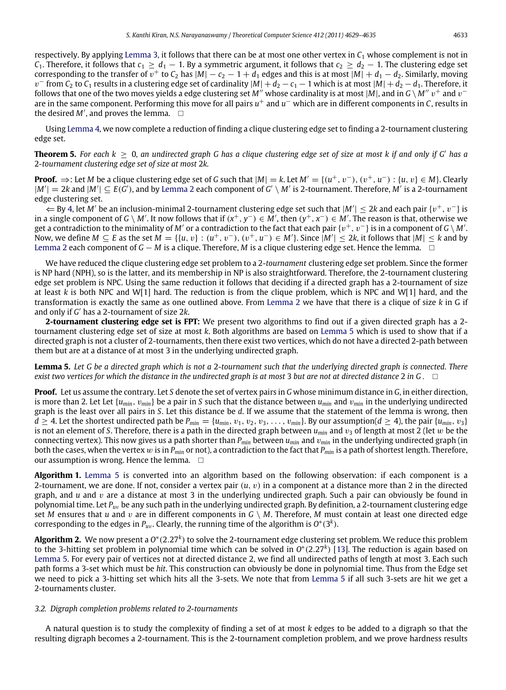respectively. By applying [Lemma](#page-3-1) [3,](#page-3-1) it follows that there can be at most one other vertex in  $C_1$  whose complement is not in *C*<sub>1</sub>. Therefore, it follows that  $c_1 \geq d_1 - 1$ . By a symmetric argument, it follows that  $c_2 \geq d_2 - 1$ . The clustering edge set corresponding to the transfer of  $\overline{v}$  + to  $C_2$  has  $|M|-c_2-1+d_1$  edges and this is at most  $|M|+d_1-d_2$ . Similarly, moving  $v^-$  from  $C_2$  to  $C_1$  results in a clustering edge set of cardinality  $|M| + d_2 - c_1 - 1$  which is at most  $|M| + d_2 - d_1$ . Therefore, it follows that one of the two moves yields a edge clustering set M" whose cardinality is at most |M|, and in G \ M"  $v^+$  and  $v^$ are in the same component. Performing this move for all pairs *u*<sup>+</sup> and *u*<sup>−</sup> which are in different components in *C*, results in the desired  $M'$ , and proves the lemma.  $\square$ 

Using [Lemma](#page-3-2) [4,](#page-3-2) we now complete a reduction of finding a clique clustering edge set to finding a 2-tournament clustering edge set.

**Theorem 5.** *For each k* ≥ 0*, an undirected graph G has a clique clustering edge set of size at most k if and only if G*′ *has a* 2*-tournament clustering edge set of size at most* 2*k.*

**Proof.**  $\Rightarrow$ : Let *M* be a clique clustering edge set of *G* such that  $|M| = k$ . Let  $M' = \{(u^+, v^-), (v^+, u^-) : \{u, v\} \in M\}$ . Clearly  $|M'| = 2k$  $|M'| = 2k$  $|M'| = 2k$  and  $|M'| \subseteq E(G')$ , and by [Lemma](#page-3-3) 2 each component of  $G' \setminus M'$  is 2-tournament. Therefore,  $M'$  is a 2-tournament edge clustering set.

⇐ By [4,](#page-3-2) let *M*′ be an inclusion-minimal 2-tournament clustering edge set such that |*M*′ | ≤ 2*k* and each pair {v <sup>+</sup>, v<sup>−</sup>} is in a single component of *G* \ *M'*. It now follows that if  $(x^+, y^-) \in M'$ , then  $(y^+, x^-) \in M'$ . The reason is that, otherwise we get a contradiction to the minimality of  $M'$  or a contradiction to the fact that each pair  $\{v^+,v^-\}$  is in a component of  $G\setminus M'$ . Now, we define  $M \subseteq E$  as the set  $M = \{ \{u, v\} : (u^+, v^-), (v^+, u^-) \in M' \}$ . Since  $|M'| \leq 2k$ , it follows that  $|M| \leq k$  and by [Lemma](#page-3-3) [2](#page-3-3) each component of *G* − *M* is a clique. Therefore, *M* is a clique clustering edge set. Hence the lemma.  $\Box$ 

We have reduced the clique clustering edge set problem to a 2-*tournament* clustering edge set problem. Since the former is NP hard (NPH), so is the latter, and its membership in NP is also straightforward. Therefore, the 2-tournament clustering edge set problem is NPC. Using the same reduction it follows that deciding if a directed graph has a 2-tournament of size at least *k* is both NPC and W[1] hard. The reduction is from the clique problem, which is NPC and W[1] hard, and the transformation is exactly the same as one outlined above. From [Lemma](#page-3-3) [2](#page-3-3) we have that there is a clique of size *k* in G if and only if *G* ′ has a 2-tournament of size 2*k*.

**2-tournament clustering edge set is FPT:** We present two algorithms to find out if a given directed graph has a 2 tournament clustering edge set of size at most *k*. Both algorithms are based on [Lemma](#page-4-0) [5](#page-4-0) which is used to show that if a directed graph is not a cluster of 2-tournaments, then there exist two vertices, which do not have a directed 2-path between them but are at a distance of at most 3 in the underlying undirected graph.

<span id="page-4-0"></span>**Lemma 5.** *Let G be a directed graph which is not a* 2*-tournament such that the underlying directed graph is connected. There exist two vertices for which the distance in the undirected graph is at most* 3 *but are not at directed distance* 2 *in G .*

**Proof.** Let us assume the contrary. Let *S* denote the set of vertex pairs in *G* whose minimum distance in *G*, in either direction, is more than 2. Let Let  $\{u_{min}, v_{min}\}$  be a pair in *S* such that the distance between  $u_{min}$  and  $v_{min}$  in the underlying undirected graph is the least over all pairs in *S*. Let this distance be *d*. If we assume that the statement of the lemma is wrong, then *d* ≥ 4. Let the shortest undirected path be  $P_{min} = \{u_{min}, v_1, v_2, v_3, \ldots, v_{min}\}$ . By our assumption(*d* ≥ 4), the pair  $\{u_{min}, v_3\}$ is not an element of *S*. Therefore, there is a path in the directed graph between  $u_{min}$  and  $v_3$  of length at most 2 (let w be the connecting vertex). This now gives us a path shorter than *Pmin* between *umin* and v*min* in the underlying undirected graph (in both the cases, when the vertex w is in *Pmin* or not), a contradiction to the fact that *Pmin* is a path of shortest length. Therefore, our assumption is wrong. Hence the lemma.  $\Box$ 

**Algorithm 1.** [Lemma](#page-4-0) [5](#page-4-0) is converted into an algorithm based on the following observation: if each component is a 2-tournament, we are done. If not, consider a vertex pair (*u*, v) in a component at a distance more than 2 in the directed graph, and *u* and v are a distance at most 3 in the underlying undirected graph. Such a pair can obviously be found in polynomial time. Let *Pu*v be any such path in the underlying undirected graph. By definition, a 2-tournament clustering edge set *M* ensures that *u* and *v* are in different components in  $G \setminus M$ . Therefore, *M* must contain at least one directed edge corresponding to the edges in  $P_{uv}$ . Clearly, the running time of the algorithm is  $O^*(3^k)$ .

**Algorithm 2.** We now present a  $O^*(2.27^k)$  to solve the 2-tournament edge clustering set problem. We reduce this problem to the 3-hitting set problem in polynomial time which can be solved in *O*<sup>\*</sup>(2.27<sup>k</sup>) [\[13\]](#page-6-12). The reduction is again based on [Lemma](#page-4-0) [5.](#page-4-0) For every pair of vertices not at directed distance 2, we find all undirected paths of length at most 3. Each such path forms a 3-set which must be *hit*. This construction can obviously be done in polynomial time. Thus from the Edge set we need to pick a 3-hitting set which hits all the 3-sets. We note that from [Lemma](#page-4-0) [5](#page-4-0) if all such 3-sets are hit we get a 2-tournaments cluster.

## *3.2. Digraph completion problems related to 2-tournaments*

A natural question is to study the complexity of finding a set of at most *k* edges to be added to a digraph so that the resulting digraph becomes a 2-tournament. This is the 2-tournament completion problem, and we prove hardness results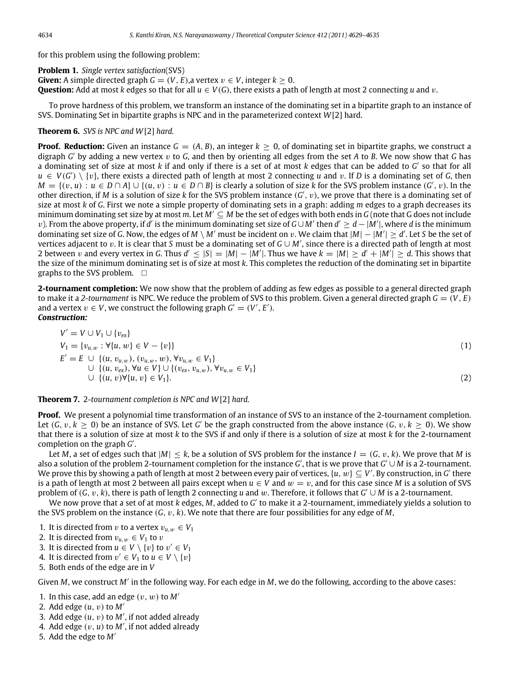for this problem using the following problem:

**Problem 1.** *Single vertex satisfaction*(SVS) **Given:** A simple directed graph  $G = (V, E)$ , a vertex  $v \in V$ , integer  $k \ge 0$ . **Question:** Add at most *k* edges so that for all  $u \in V(G)$ , there exists a path of length at most 2 connecting *u* and *v*.

To prove hardness of this problem, we transform an instance of the dominating set in a bipartite graph to an instance of SVS. Dominating Set in bipartite graphs is NPC and in the parameterized context *W*[2] hard.

# **Theorem 6.** *SVS is NPC and W*[2] *hard.*

**Proof. Reduction:** Given an instance  $G = (A, B)$ , an integer  $k > 0$ , of dominating set in bipartite graphs, we construct a digraph *G* ′ by adding a new vertex v to *G*, and then by orienting all edges from the set *A* to *B*. We now show that *G* has a dominating set of size at most *k* if and only if there is a set of at most *k* edges that can be added to *G* ′ so that for all  $u \in V(G') \setminus \{v\}$ , there exists a directed path of length at most 2 connecting *u* and *v*. If *D* is a dominating set of *G*, then *M* = { $(v, u)$  : *u* ∈ *D* ∩ *A*} ∪ { $(u, v)$  : *u* ∈ *D* ∩ *B*} is clearly a solution of size *k* for the SVS problem instance  $(G', v)$ . In the other direction, if *M* is a solution of size *k* for the SVS problem instance (*G'*, *v*), we prove that there is a dominating set of size at most *k* of *G*. First we note a simple property of dominating sets in a graph: adding *m* edges to a graph decreases its minimum dominating set size by at most *m*. Let *M*′ ⊆ *M* be the set of edges with both ends in *G* (note that G does not include *v*). From the above property, if *d'* is the minimum dominating set size of *G∪M'* then *d'* ≥ *d* − |M'|, where *d* is the minimum dominating set size of G. Now, the edges of  $M \setminus M'$  must be incident on v. We claim that  $|M|-|M'| \ge d'$ . Let S be the set of vertices adjacent to v. It is clear that *S* must be a dominating set of *G* ∪ *M*′ , since there is a directed path of length at most 2 between v and every vertex in G. Thus  $d' \leq |S| = |M| - |M'|$ . Thus we have  $k = |M| \geq d' + |M'| \geq d$ . This shows that the size of the minimum dominating set is of size at most *k*. This completes the reduction of the dominating set in bipartite graphs to the SVS problem.  $\square$ 

**2-tournament completion:** We now show that the problem of adding as few edges as possible to a general directed graph to make it a 2-tournament is NPC. We reduce the problem of SVS to this problem. Given a general directed graph  $G = (V, E)$ and a vertex  $v \in V$ , we construct the following graph  $G' = (V', E')$ . *Construction:*

$$
V' = V \cup V_1 \cup \{v_{ex}\}\
$$
  
\n
$$
V_1 = \{v_{u,w} : \forall \{u, w\} \in V - \{v\}\}\
$$
  
\n
$$
E' = E \cup \{(u, v_{u,w}), (v_{u,w}, w), \forall v_{u,w} \in V_1\}\
$$
  
\n
$$
\cup \{(u, v_{ex}), \forall u \in V\} \cup \{(v_{ex}, v_{u,w}), \forall v_{u,w} \in V_1\}\
$$
  
\n
$$
\cup \{(u, v) \forall \{u, v\} \in V_1\}.
$$
  
\n(2)

**Theorem 7.** 2*-tournament completion is NPC and W*[2] *hard.*

**Proof.** We present a polynomial time transformation of an instance of SVS to an instance of the 2-tournament completion. Let  $(G, v, k \ge 0)$  be an instance of SVS. Let *G'* be the graph constructed from the above instance  $(G, v, k \ge 0)$ . We show that there is a solution of size at most *k* to the SVS if and only if there is a solution of size at most *k* for the 2-tournament completion on the graph *G* ′ .

Let *M*, a set of edges such that  $|M| \le k$ , be a solution of SVS problem for the instance  $I = (G, v, k)$ . We prove that *M* is also a solution of the problem 2-tournament completion for the instance *G'*, that is we prove that *G'*∪M is a 2-tournament. We prove this by showing a path of length at most 2 between every pair of vertices, { $u,w$ }  $\subseteq$  V'. By construction, in  $G'$  there is a path of length at most 2 between all pairs except when  $u \in V$  and  $w = v$ , and for this case since *M* is a solution of SVS problem of (*G*, v, *k*), there is path of length 2 connecting *u* and w. Therefore, it follows that *G* ′ ∪ *M* is a 2-tournament.

We now prove that a set of at most *k* edges, *M*, added to *G'* to make it a 2-tournament, immediately yields a solution to the SVS problem on the instance (*G*, v, *k*). We note that there are four possibilities for any edge of *M*,

- 1. It is directed from v to a vertex  $v_{u,w} \in V_1$
- 2. It is directed from  $v_{u,w} \in V_1$  to v
- 3. It is directed from  $u \in V \setminus \{v\}$  to  $v' \in V_1$
- 4. It is directed from  $v' \in V_1$  to  $u \in V \setminus \{v\}$
- 5. Both ends of the edge are in *V*

Given *M*, we construct *M*′ in the following way. For each edge in *M*, we do the following, according to the above cases:

- 1. In this case, add an edge  $(v, w)$  to  $M'$
- 2. Add edge (*u*, v) to *M*′
- 3. Add edge  $(u, v)$  to  $M'$ , if not added already
- 4. Add edge (v, *u*) to *M*′ , if not added already
- 5. Add the edge to *M*′